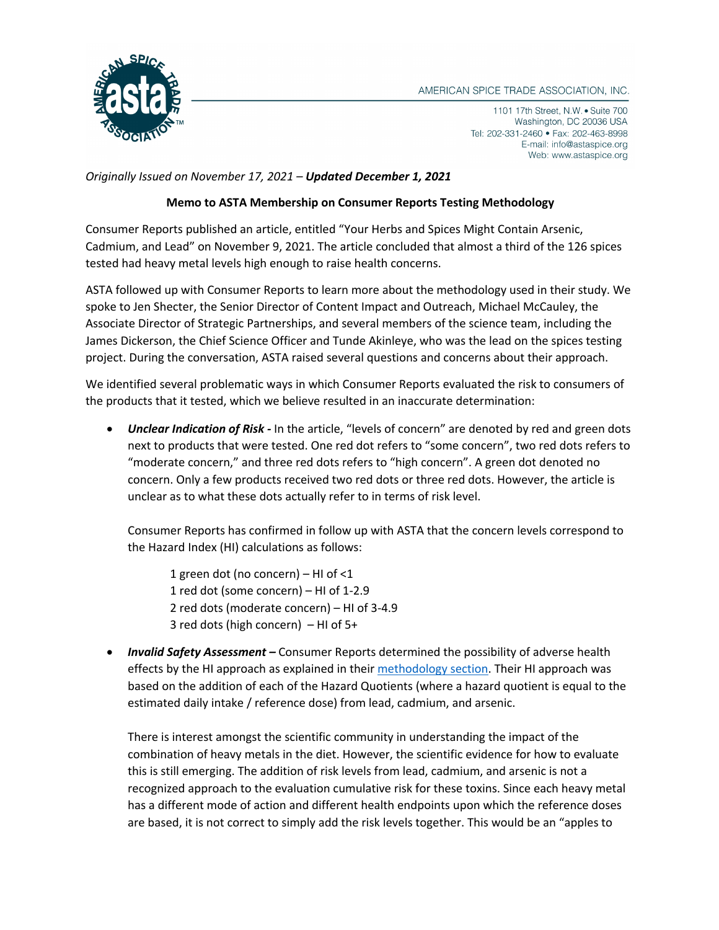

1101 17th Street, N.W. • Suite 700 Washington, DC 20036 USA Tel: 202-331-2460 • Fax: 202-463-8998 E-mail: info@astaspice.org Web: www.astaspice.org

*Originally Issued on November 17, 2021 – Updated December 1, 2021* 

## **Memo to ASTA Membership on Consumer Reports Testing Methodology**

Consumer Reports published an article, entitled "Your Herbs and Spices Might Contain Arsenic, Cadmium, and Lead" on November 9, 2021. The article concluded that almost a third of the 126 spices tested had heavy metal levels high enough to raise health concerns.

ASTA followed up with Consumer Reports to learn more about the methodology used in their study. We spoke to Jen Shecter, the Senior Director of Content Impact and Outreach, Michael McCauley, the Associate Director of Strategic Partnerships, and several members of the science team, including the James Dickerson, the Chief Science Officer and Tunde Akinleye, who was the lead on the spices testing project. During the conversation, ASTA raised several questions and concerns about their approach.

We identified several problematic ways in which Consumer Reports evaluated the risk to consumers of the products that it tested, which we believe resulted in an inaccurate determination:

• *Unclear Indication of Risk -* In the article, "levels of concern" are denoted by red and green dots next to products that were tested. One red dot refers to "some concern", two red dots refers to "moderate concern," and three red dots refers to "high concern". A green dot denoted no concern. Only a few products received two red dots or three red dots. However, the article is unclear as to what these dots actually refer to in terms of risk level.

Consumer Reports has confirmed in follow up with ASTA that the concern levels correspond to the Hazard Index (HI) calculations as follows:

1 green dot (no concern) – HI of <1 1 red dot (some concern) – HI of 1-2.9 2 red dots (moderate concern) – HI of 3-4.9 3 red dots (high concern) – HI of 5+

• *Invalid Safety Assessment –* Consumer Reports determined the possibility of adverse health effects by the HI approach as explained in their methodology section. Their HI approach was based on the addition of each of the Hazard Quotients (where a hazard quotient is equal to the estimated daily intake / reference dose) from lead, cadmium, and arsenic.

There is interest amongst the scientific community in understanding the impact of the combination of heavy metals in the diet. However, the scientific evidence for how to evaluate this is still emerging. The addition of risk levels from lead, cadmium, and arsenic is not a recognized approach to the evaluation cumulative risk for these toxins. Since each heavy metal has a different mode of action and different health endpoints upon which the reference doses are based, it is not correct to simply add the risk levels together. This would be an "apples to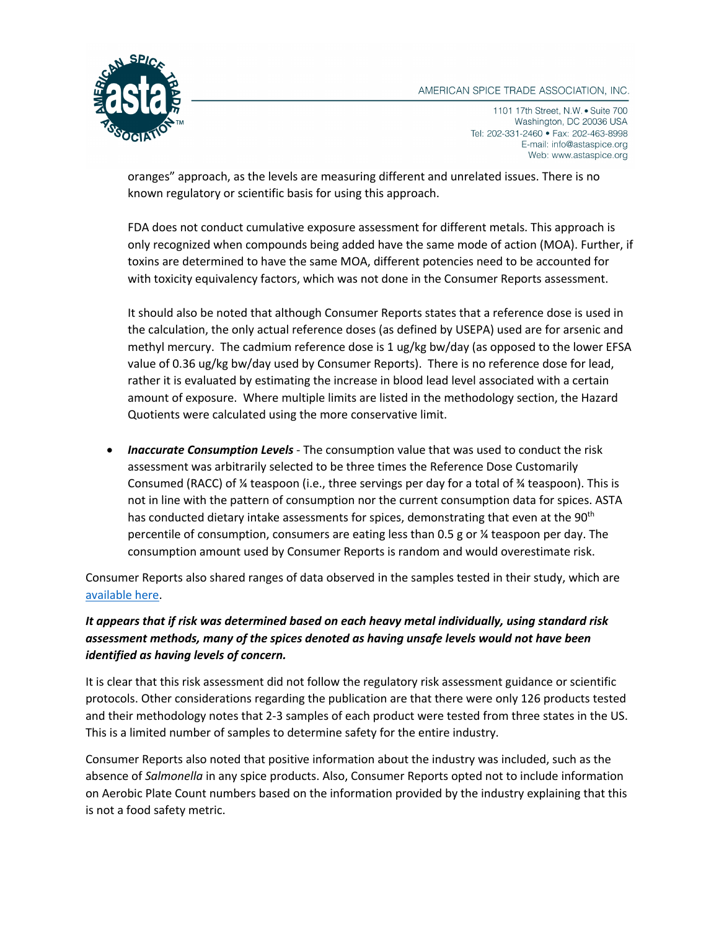## AMERICAN SPICE TRADE ASSOCIATION, INC.



1101 17th Street, N.W. • Suite 700 Washington, DC 20036 USA Tel: 202-331-2460 • Fax: 202-463-8998 E-mail: info@astaspice.org Web: www.astaspice.org

oranges" approach, as the levels are measuring different and unrelated issues. There is no known regulatory or scientific basis for using this approach.

FDA does not conduct cumulative exposure assessment for different metals. This approach is only recognized when compounds being added have the same mode of action (MOA). Further, if toxins are determined to have the same MOA, different potencies need to be accounted for with toxicity equivalency factors, which was not done in the Consumer Reports assessment.

It should also be noted that although Consumer Reports states that a reference dose is used in the calculation, the only actual reference doses (as defined by USEPA) used are for arsenic and methyl mercury. The cadmium reference dose is 1 ug/kg bw/day (as opposed to the lower EFSA value of 0.36 ug/kg bw/day used by Consumer Reports). There is no reference dose for lead, rather it is evaluated by estimating the increase in blood lead level associated with a certain amount of exposure. Where multiple limits are listed in the methodology section, the Hazard Quotients were calculated using the more conservative limit.

• *Inaccurate Consumption Levels* - The consumption value that was used to conduct the risk assessment was arbitrarily selected to be three times the Reference Dose Customarily Consumed (RACC) of ¼ teaspoon (i.e., three servings per day for a total of ¾ teaspoon). This is not in line with the pattern of consumption nor the current consumption data for spices. ASTA has conducted dietary intake assessments for spices, demonstrating that even at the 90<sup>th</sup> percentile of consumption, consumers are eating less than 0.5 g or ¼ teaspoon per day. The consumption amount used by Consumer Reports is random and would overestimate risk.

Consumer Reports also shared ranges of data observed in the samples tested in their study, which are available here.

## *It appears that if risk was determined based on each heavy metal individually, using standard risk assessment methods, many of the spices denoted as having unsafe levels would not have been identified as having levels of concern.*

It is clear that this risk assessment did not follow the regulatory risk assessment guidance or scientific protocols. Other considerations regarding the publication are that there were only 126 products tested and their methodology notes that 2-3 samples of each product were tested from three states in the US. This is a limited number of samples to determine safety for the entire industry.

Consumer Reports also noted that positive information about the industry was included, such as the absence of *Salmonella* in any spice products. Also, Consumer Reports opted not to include information on Aerobic Plate Count numbers based on the information provided by the industry explaining that this is not a food safety metric.